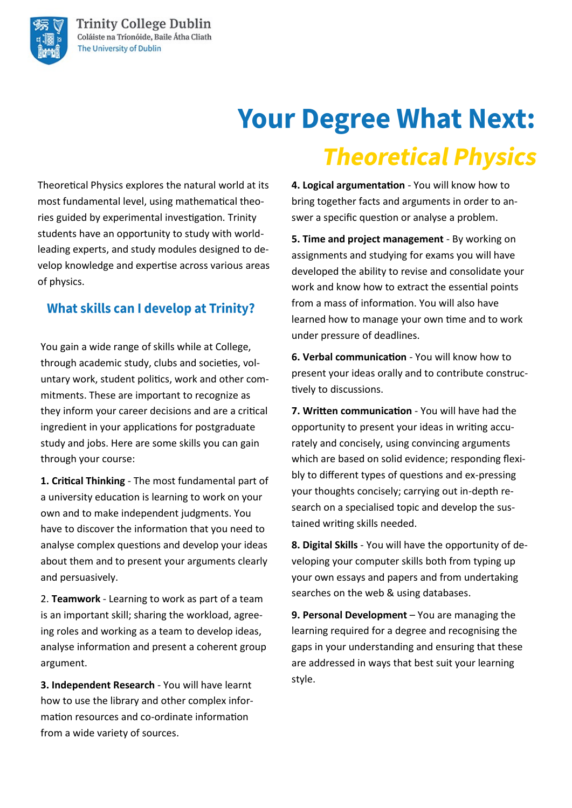# **Your Degree What Next: Theoretical Physics**

Theoretical Physics explores the natural world at its most fundamental level, using mathematical theories guided by experimental investigation. Trinity students have an opportunity to study with worldleading experts, and study modules designed to develop knowledge and expertise across various areas of physics.

### **What skills can I develop at Trinity?**

You gain a wide range of skills while at College, through academic study, clubs and societies, voluntary work, student politics, work and other commitments. These are important to recognize as they inform your career decisions and are a critical ingredient in your applications for postgraduate study and jobs. Here are some skills you can gain through your course:

**1. Critical Thinking** - The most fundamental part of a university education is learning to work on your own and to make independent judgments. You have to discover the information that you need to analyse complex questions and develop your ideas about them and to present your arguments clearly and persuasively.

2. **Teamwork** - Learning to work as part of a team is an important skill; sharing the workload, agreeing roles and working as a team to develop ideas, analyse information and present a coherent group argument.

**3. Independent Research** - You will have learnt how to use the library and other complex information resources and co-ordinate information from a wide variety of sources.

**4. Logical argumentation** - You will know how to bring together facts and arguments in order to answer a specific question or analyse a problem.

**5. Time and project management** - By working on assignments and studying for exams you will have developed the ability to revise and consolidate your work and know how to extract the essential points from a mass of information. You will also have learned how to manage your own time and to work under pressure of deadlines.

**6. Verbal communication** - You will know how to present your ideas orally and to contribute constructively to discussions.

**7. Written communication** - You will have had the opportunity to present your ideas in writing accurately and concisely, using convincing arguments which are based on solid evidence; responding flexibly to different types of questions and ex-pressing your thoughts concisely; carrying out in-depth research on a specialised topic and develop the sustained writing skills needed.

**8. Digital Skills** - You will have the opportunity of developing your computer skills both from typing up your own essays and papers and from undertaking searches on the web & using databases.

**9. Personal Development** – You are managing the learning required for a degree and recognising the gaps in your understanding and ensuring that these are addressed in ways that best suit your learning style.